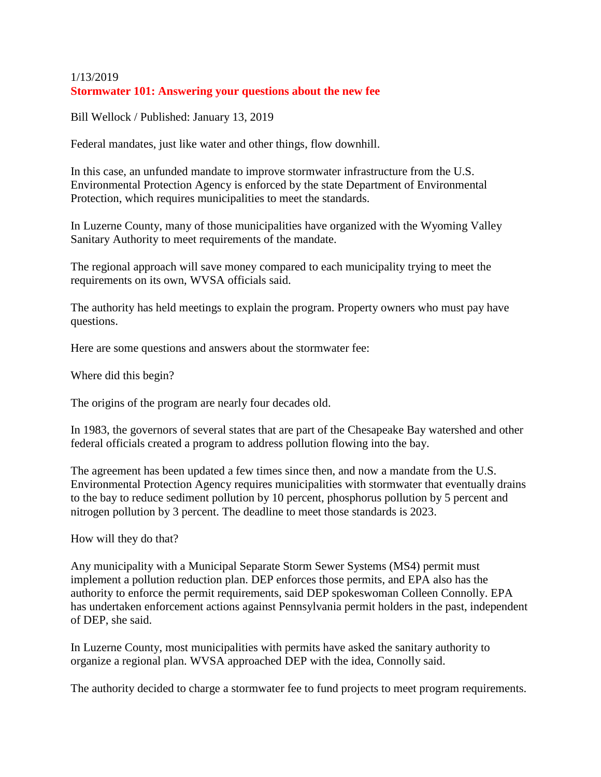## 1/13/2019 **Stormwater 101: Answering your questions about the new fee**

Bill Wellock / Published: January 13, 2019

Federal mandates, just like water and other things, flow downhill.

In this case, an unfunded mandate to improve stormwater infrastructure from the U.S. Environmental Protection Agency is enforced by the state Department of Environmental Protection, which requires municipalities to meet the standards.

In Luzerne County, many of those municipalities have organized with the Wyoming Valley Sanitary Authority to meet requirements of the mandate.

The regional approach will save money compared to each municipality trying to meet the requirements on its own, WVSA officials said.

The authority has held meetings to explain the program. Property owners who must pay have questions.

Here are some questions and answers about the stormwater fee:

Where did this begin?

The origins of the program are nearly four decades old.

In 1983, the governors of several states that are part of the Chesapeake Bay watershed and other federal officials created a program to address pollution flowing into the bay.

The agreement has been updated a few times since then, and now a mandate from the U.S. Environmental Protection Agency requires municipalities with stormwater that eventually drains to the bay to reduce sediment pollution by 10 percent, phosphorus pollution by 5 percent and nitrogen pollution by 3 percent. The deadline to meet those standards is 2023.

How will they do that?

Any municipality with a Municipal Separate Storm Sewer Systems (MS4) permit must implement a pollution reduction plan. DEP enforces those permits, and EPA also has the authority to enforce the permit requirements, said DEP spokeswoman Colleen Connolly. EPA has undertaken enforcement actions against Pennsylvania permit holders in the past, independent of DEP, she said.

In Luzerne County, most municipalities with permits have asked the sanitary authority to organize a regional plan. WVSA approached DEP with the idea, Connolly said.

The authority decided to charge a stormwater fee to fund projects to meet program requirements.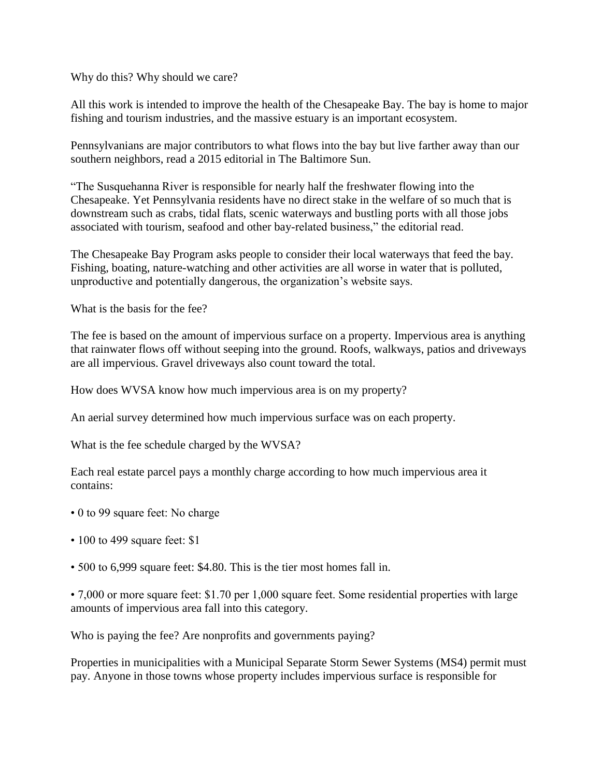Why do this? Why should we care?

All this work is intended to improve the health of the Chesapeake Bay. The bay is home to major fishing and tourism industries, and the massive estuary is an important ecosystem.

Pennsylvanians are major contributors to what flows into the bay but live farther away than our southern neighbors, read a 2015 editorial in The Baltimore Sun.

"The Susquehanna River is responsible for nearly half the freshwater flowing into the Chesapeake. Yet Pennsylvania residents have no direct stake in the welfare of so much that is downstream such as crabs, tidal flats, scenic waterways and bustling ports with all those jobs associated with tourism, seafood and other bay-related business," the editorial read.

The Chesapeake Bay Program asks people to consider their local waterways that feed the bay. Fishing, boating, nature-watching and other activities are all worse in water that is polluted, unproductive and potentially dangerous, the organization's website says.

What is the basis for the fee?

The fee is based on the amount of impervious surface on a property. Impervious area is anything that rainwater flows off without seeping into the ground. Roofs, walkways, patios and driveways are all impervious. Gravel driveways also count toward the total.

How does WVSA know how much impervious area is on my property?

An aerial survey determined how much impervious surface was on each property.

What is the fee schedule charged by the WVSA?

Each real estate parcel pays a monthly charge according to how much impervious area it contains:

- 0 to 99 square feet: No charge
- 100 to 499 square feet: \$1
- 500 to 6,999 square feet: \$4.80. This is the tier most homes fall in.

• 7,000 or more square feet: \$1.70 per 1,000 square feet. Some residential properties with large amounts of impervious area fall into this category.

Who is paying the fee? Are nonprofits and governments paying?

Properties in municipalities with a Municipal Separate Storm Sewer Systems (MS4) permit must pay. Anyone in those towns whose property includes impervious surface is responsible for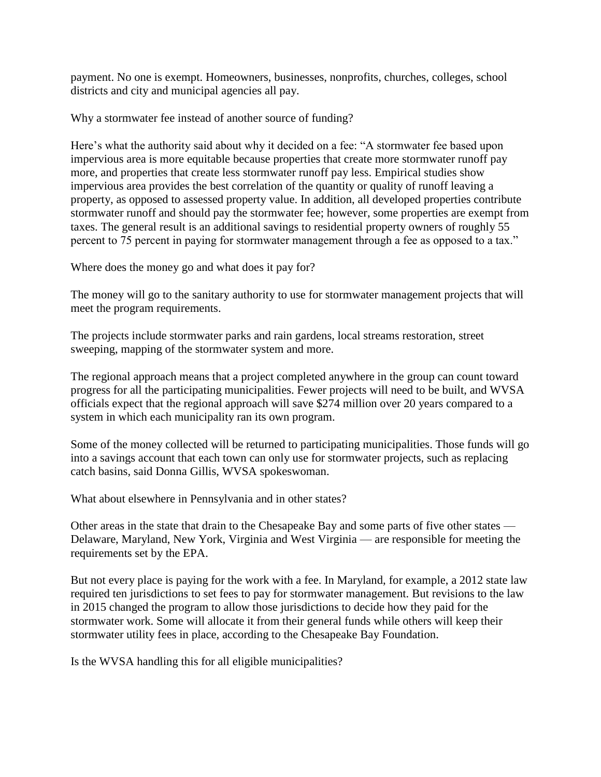payment. No one is exempt. Homeowners, businesses, nonprofits, churches, colleges, school districts and city and municipal agencies all pay.

Why a stormwater fee instead of another source of funding?

Here's what the authority said about why it decided on a fee: "A stormwater fee based upon impervious area is more equitable because properties that create more stormwater runoff pay more, and properties that create less stormwater runoff pay less. Empirical studies show impervious area provides the best correlation of the quantity or quality of runoff leaving a property, as opposed to assessed property value. In addition, all developed properties contribute stormwater runoff and should pay the stormwater fee; however, some properties are exempt from taxes. The general result is an additional savings to residential property owners of roughly 55 percent to 75 percent in paying for stormwater management through a fee as opposed to a tax."

Where does the money go and what does it pay for?

The money will go to the sanitary authority to use for stormwater management projects that will meet the program requirements.

The projects include stormwater parks and rain gardens, local streams restoration, street sweeping, mapping of the stormwater system and more.

The regional approach means that a project completed anywhere in the group can count toward progress for all the participating municipalities. Fewer projects will need to be built, and WVSA officials expect that the regional approach will save \$274 million over 20 years compared to a system in which each municipality ran its own program.

Some of the money collected will be returned to participating municipalities. Those funds will go into a savings account that each town can only use for stormwater projects, such as replacing catch basins, said Donna Gillis, WVSA spokeswoman.

What about elsewhere in Pennsylvania and in other states?

Other areas in the state that drain to the Chesapeake Bay and some parts of five other states — Delaware, Maryland, New York, Virginia and West Virginia — are responsible for meeting the requirements set by the EPA.

But not every place is paying for the work with a fee. In Maryland, for example, a 2012 state law required ten jurisdictions to set fees to pay for stormwater management. But revisions to the law in 2015 changed the program to allow those jurisdictions to decide how they paid for the stormwater work. Some will allocate it from their general funds while others will keep their stormwater utility fees in place, according to the Chesapeake Bay Foundation.

Is the WVSA handling this for all eligible municipalities?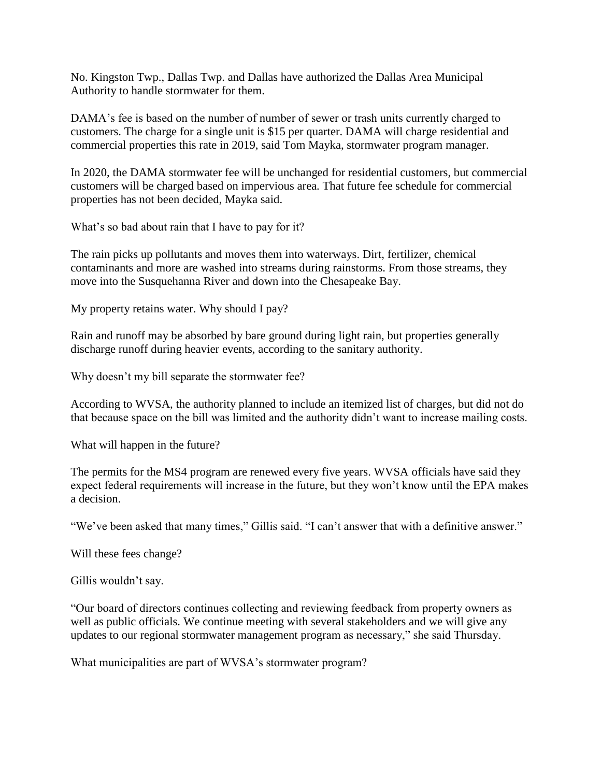No. Kingston Twp., Dallas Twp. and Dallas have authorized the Dallas Area Municipal Authority to handle stormwater for them.

DAMA's fee is based on the number of number of sewer or trash units currently charged to customers. The charge for a single unit is \$15 per quarter. DAMA will charge residential and commercial properties this rate in 2019, said Tom Mayka, stormwater program manager.

In 2020, the DAMA stormwater fee will be unchanged for residential customers, but commercial customers will be charged based on impervious area. That future fee schedule for commercial properties has not been decided, Mayka said.

What's so bad about rain that I have to pay for it?

The rain picks up pollutants and moves them into waterways. Dirt, fertilizer, chemical contaminants and more are washed into streams during rainstorms. From those streams, they move into the Susquehanna River and down into the Chesapeake Bay.

My property retains water. Why should I pay?

Rain and runoff may be absorbed by bare ground during light rain, but properties generally discharge runoff during heavier events, according to the sanitary authority.

Why doesn't my bill separate the stormwater fee?

According to WVSA, the authority planned to include an itemized list of charges, but did not do that because space on the bill was limited and the authority didn't want to increase mailing costs.

What will happen in the future?

The permits for the MS4 program are renewed every five years. WVSA officials have said they expect federal requirements will increase in the future, but they won't know until the EPA makes a decision.

"We've been asked that many times," Gillis said. "I can't answer that with a definitive answer."

Will these fees change?

Gillis wouldn't say.

"Our board of directors continues collecting and reviewing feedback from property owners as well as public officials. We continue meeting with several stakeholders and we will give any updates to our regional stormwater management program as necessary," she said Thursday.

What municipalities are part of WVSA's stormwater program?